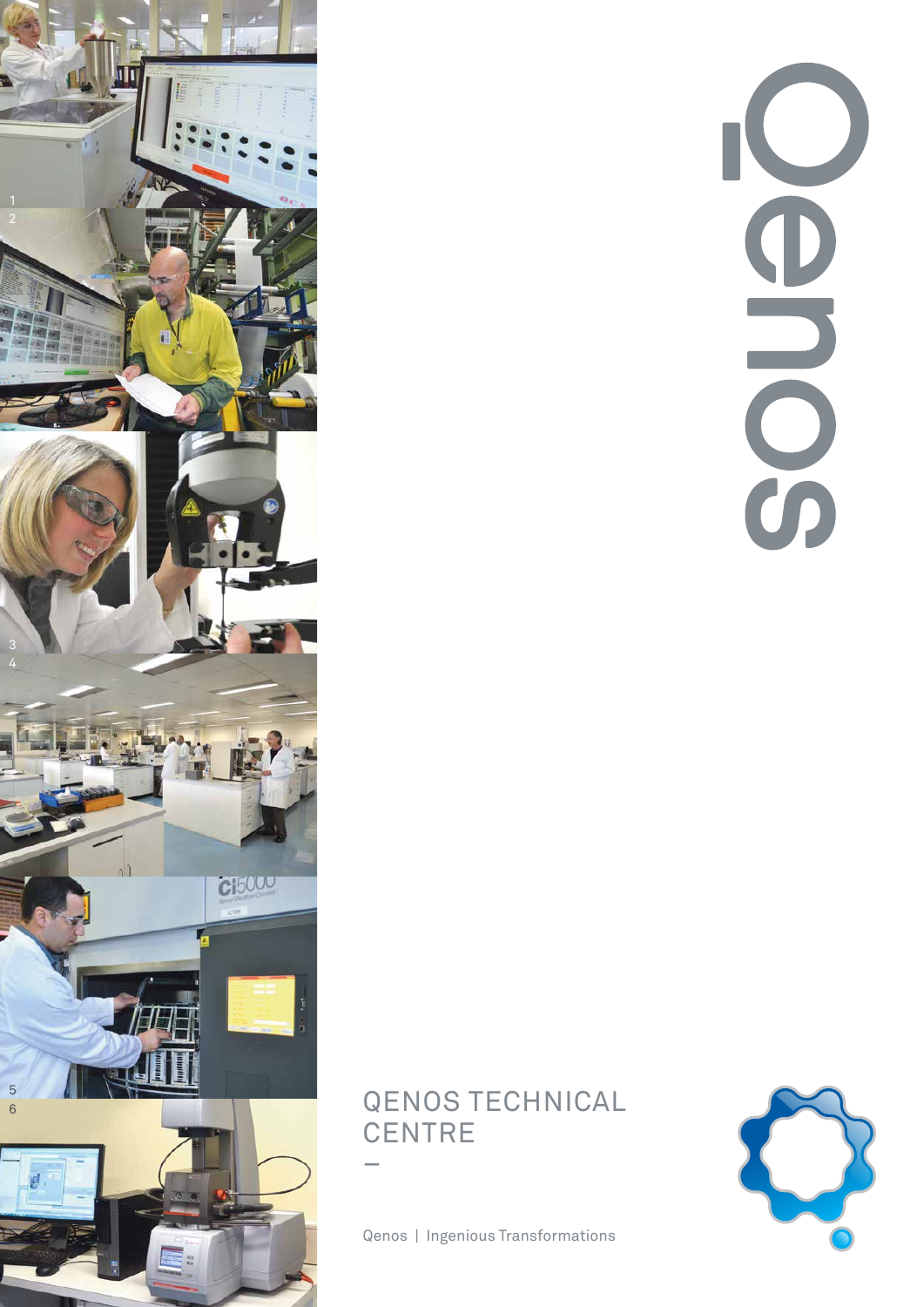

# 

# QENOS TECHNICAL **CENTRE** –

Qenos | Ingenious Transformations

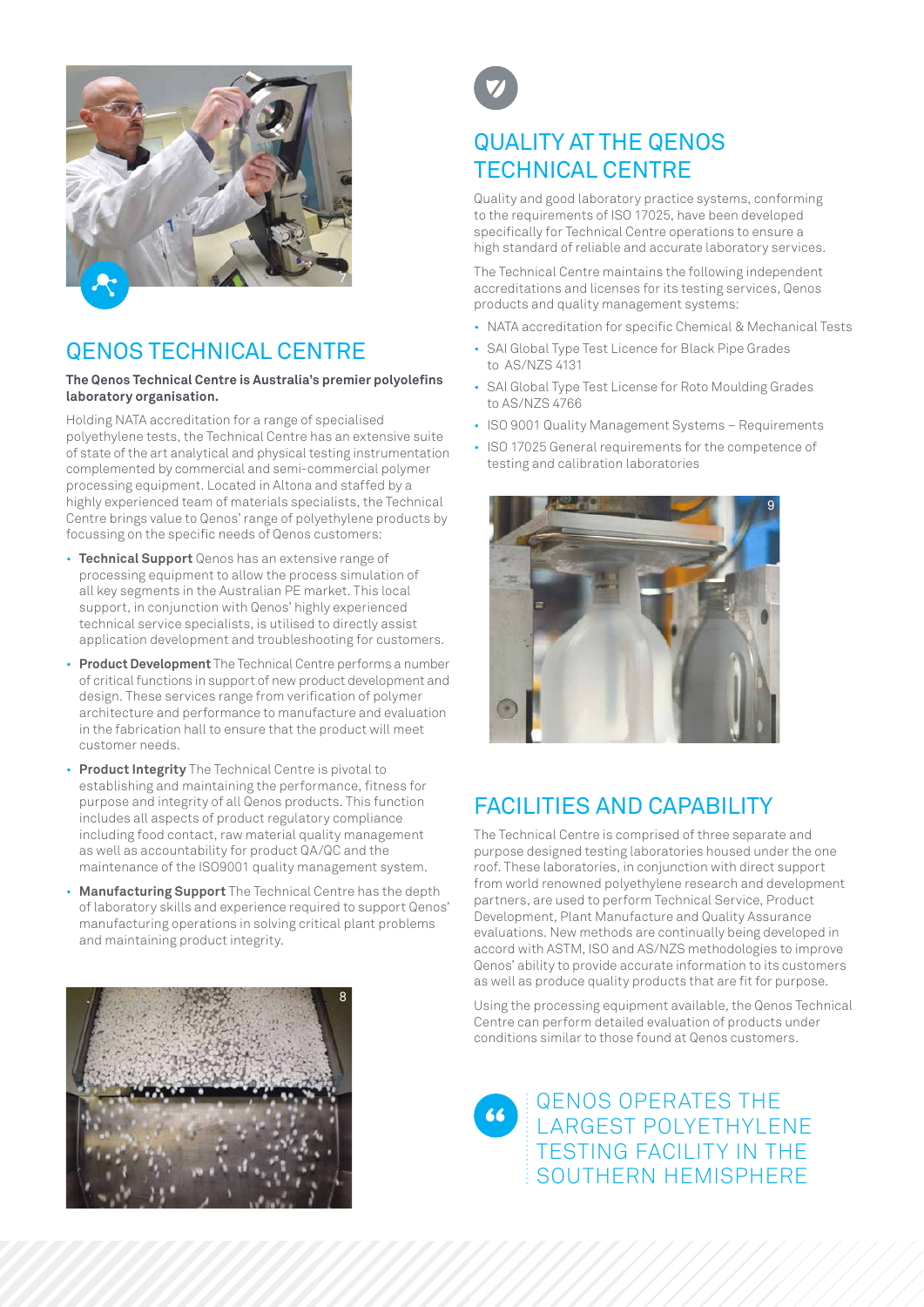

# QENOS TECHNICAL CENTRE

### **The Qenos Technical Centre is Australia's premier polyolefins laboratory organisation.**

Holding NATA accreditation for a range of specialised polyethylene tests, the Technical Centre has an extensive suite of state of the art analytical and physical testing instrumentation complemented by commercial and semi-commercial polymer processing equipment. Located in Altona and staffed by a highly experienced team of materials specialists, the Technical Centre brings value to Qenos' range of polyethylene products by focussing on the specific needs of Qenos customers:

- **Technical Support** Qenos has an extensive range of processing equipment to allow the process simulation of all key segments in the Australian PE market. This local support, in conjunction with Qenos' highly experienced technical service specialists, is utilised to directly assist application development and troubleshooting for customers.
- **Product Development** The Technical Centre performs a number of critical functions in support of new product development and design. These services range from verification of polymer architecture and performance to manufacture and evaluation in the fabrication hall to ensure that the product will meet customer needs.
- **Product Integrity** The Technical Centre is pivotal to establishing and maintaining the performance, fitness for purpose and integrity of all Qenos products. This function includes all aspects of product regulatory compliance including food contact, raw material quality management as well as accountability for product QA/QC and the maintenance of the ISO9001 quality management system.
- **Manufacturing Support** The Technical Centre has the depth of laboratory skills and experience required to support Qenos' manufacturing operations in solving critical plant problems and maintaining product integrity.





# QUALITY AT THE QENOS TECHNICAL CENTRE

Quality and good laboratory practice systems, conforming to the requirements of ISO 17025, have been developed specifically for Technical Centre operations to ensure a high standard of reliable and accurate laboratory services.

The Technical Centre maintains the following independent accreditations and licenses for its testing services, Qenos products and quality management systems:

- NATA accreditation for specific Chemical & Mechanical Tests
- SAI Global Type Test Licence for Black Pipe Grades to AS/NZS 4131
- SAI Global Type Test License for Roto Moulding Grades to AS/NZS 4766
- ISO 9001 Quality Management Systems Requirements
- ISO 17025 General requirements for the competence of testing and calibration laboratories



# FACILITIES AND CAPABILITY

The Technical Centre is comprised of three separate and purpose designed testing laboratories housed under the one roof. These laboratories, in conjunction with direct support from world renowned polyethylene research and development partners, are used to perform Technical Service, Product Development, Plant Manufacture and Quality Assurance evaluations. New methods are continually being developed in accord with ASTM, ISO and AS/NZS methodologies to improve Qenos' ability to provide accurate information to its customers as well as produce quality products that are fit for purpose.

Using the processing equipment available, the Qenos Technical Centre can perform detailed evaluation of products under conditions similar to those found at Qenos customers.

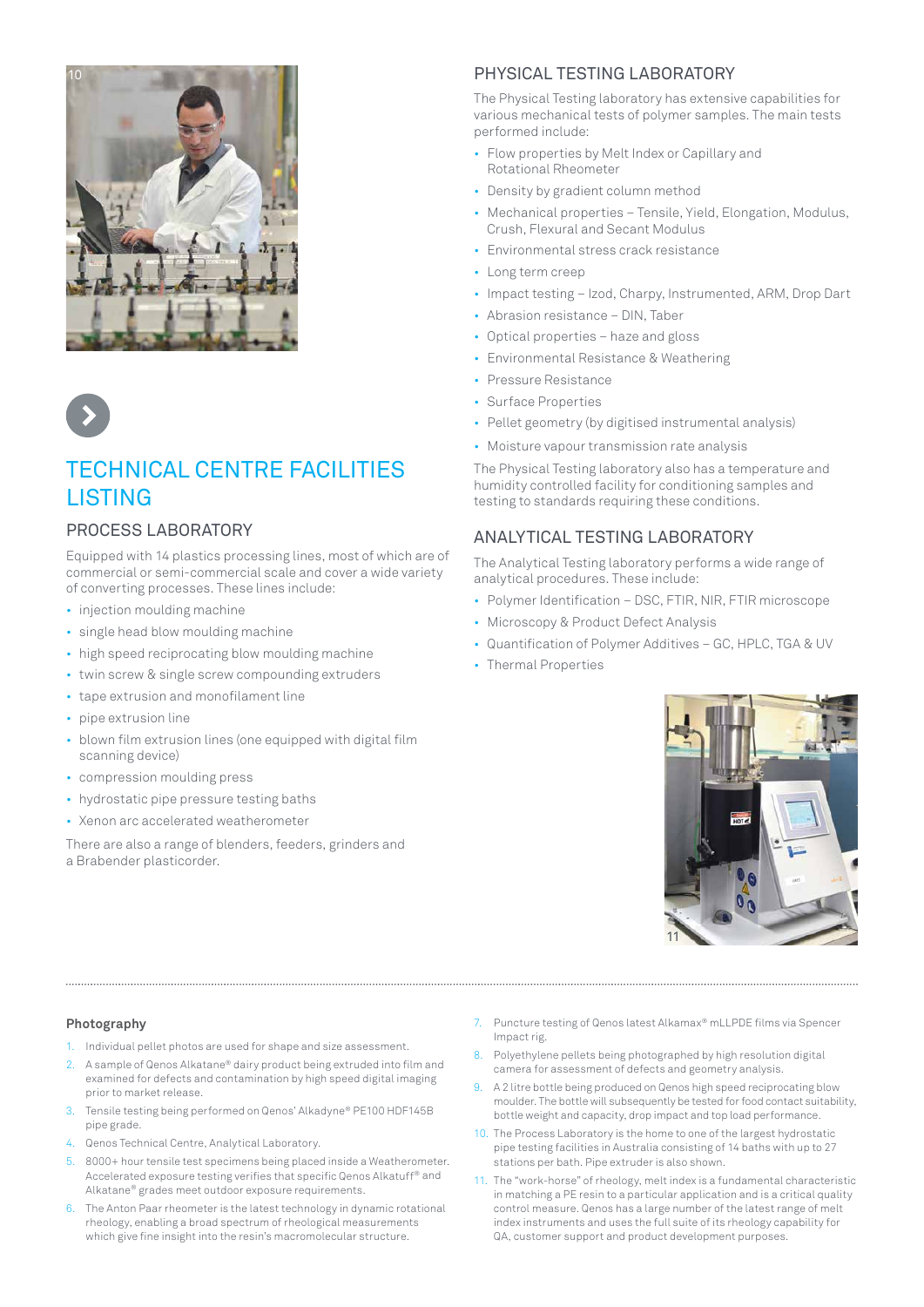



# TECHNICAL CENTRE FACILITIES LISTING

### PROCESS LABORATORY

Equipped with 14 plastics processing lines, most of which are of commercial or semi-commercial scale and cover a wide variety of converting processes. These lines include:

- injection moulding machine
- single head blow moulding machine
- high speed reciprocating blow moulding machine
- twin screw & single screw compounding extruders
- tape extrusion and monofilament line
- pipe extrusion line
- blown film extrusion lines (one equipped with digital film scanning device)
- compression moulding press
- hydrostatic pipe pressure testing baths
- Xenon arc accelerated weatherometer

There are also a range of blenders, feeders, grinders and a Brabender plasticorder.

### PHYSICAL TESTING LABORATORY

The Physical Testing laboratory has extensive capabilities for various mechanical tests of polymer samples. The main tests performed include:

- Flow properties by Melt Index or Capillary and Rotational Rheometer
- Density by gradient column method
- Mechanical properties Tensile, Yield, Elongation, Modulus, Crush, Flexural and Secant Modulus
- Environmental stress crack resistance
- Long term creep
- Impact testing Izod, Charpy, Instrumented, ARM, Drop Dart
- Abrasion resistance DIN, Taber
- Optical properties haze and gloss
- Environmental Resistance & Weathering
- Pressure Resistance
- Surface Properties
- Pellet geometry (by digitised instrumental analysis)
- Moisture vapour transmission rate analysis

The Physical Testing laboratory also has a temperature and humidity controlled facility for conditioning samples and testing to standards requiring these conditions.

## ANALYTICAL TESTING LABORATORY

The Analytical Testing laboratory performs a wide range of analytical procedures. These include:

- Polymer Identification DSC, FTIR, NIR, FTIR microscope
- Microscopy & Product Defect Analysis
- Quantification of Polymer Additives GC, HPLC, TGA & UV
- Thermal Properties



### **Photography**

- 1. Individual pellet photos are used for shape and size assessment.
- 2. A sample of Qenos Alkatane® dairy product being extruded into film and examined for defects and contamination by high speed digital imaging prior to market release.
- 3. Tensile testing being performed on Qenos' Alkadyne® PE100 HDF145B pipe grade.
- 4. Qenos Technical Centre, Analytical Laboratory.
- 5. 8000+ hour tensile test specimens being placed inside a Weatherometer. Accelerated exposure testing verifies that specific Qenos Alkatuff® and Alkatane® grades meet outdoor exposure requirements.
- 6. The Anton Paar rheometer is the latest technology in dynamic rotational rheology, enabling a broad spectrum of rheological measurements which give fine insight into the resin's macromolecular structure.

7. Puncture testing of Qenos latest Alkamax® mLLPDE films via Spencer Impact rig.

- 8. Polyethylene pellets being photographed by high resolution digital camera for assessment of defects and geometry analysis.
- 9. A 2 litre bottle being produced on Qenos high speed reciprocating blow moulder. The bottle will subsequently be tested for food contact suitability, bottle weight and capacity, drop impact and top load performance.
- 10. The Process Laboratory is the home to one of the largest hydrostatic pipe testing facilities in Australia consisting of 14 baths with up to 27 stations per bath. Pipe extruder is also shown.
- 11. The "work-horse" of rheology, melt index is a fundamental characteristic in matching a PE resin to a particular application and is a critical quality control measure. Qenos has a large number of the latest range of melt index instruments and uses the full suite of its rheology capability for QA, customer support and product development purposes.